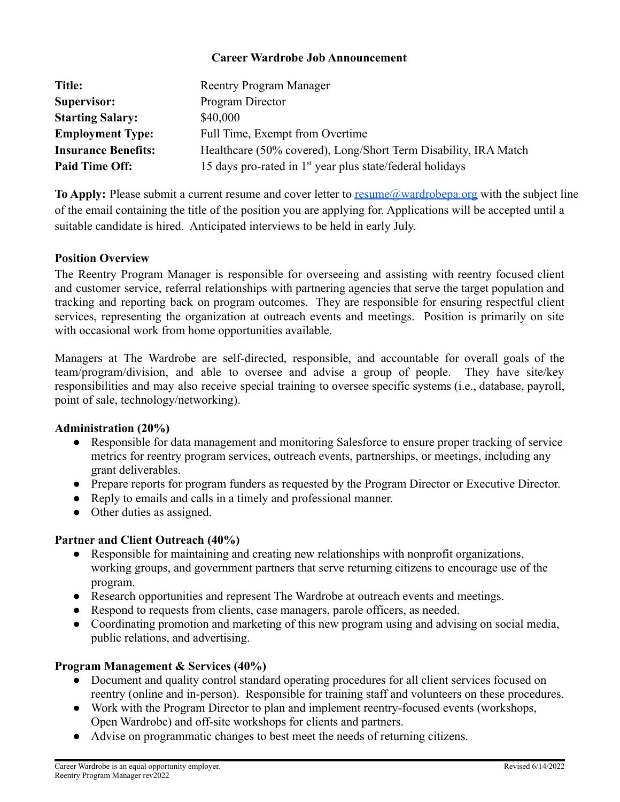### **Career Wardrobe Job Announcement**

| Title:                     | <b>Reentry Program Manager</b>                                  |
|----------------------------|-----------------------------------------------------------------|
| <b>Supervisor:</b>         | Program Director                                                |
| <b>Starting Salary:</b>    | \$40,000                                                        |
| <b>Employment Type:</b>    | Full Time, Exempt from Overtime                                 |
| <b>Insurance Benefits:</b> | Healthcare (50% covered), Long/Short Term Disability, IRA Match |
| <b>Paid Time Off:</b>      | 15 days pro-rated in $1st$ year plus state/federal holidays     |

**To Apply:** Please submit a current resume and cover letter to resume *a* wardrobepa.org with the subject line of the email containing the title of the position you are applying for. Applications will be accepted until a suitable candidate is hired. Anticipated interviews to be held in early July.

### **Position Overview**

The Reentry Program Manager is responsible for overseeing and assisting with reentry focused client and customer service, referral relationships with partnering agencies that serve the target population and tracking and reporting back on program outcomes. They are responsible for ensuring respectful client services, representing the organization at outreach events and meetings. Position is primarily on site with occasional work from home opportunities available.

Managers at The Wardrobe are self-directed, responsible, and accountable for overall goals of the team/program/division, and able to oversee and advise a group of people. They have site/key responsibilities and may also receive special training to oversee specific systems (i.e., database, payroll, point of sale, technology/networking).

#### **Administration (20%)**

- Responsible for data management and monitoring Salesforce to ensure proper tracking of service metrics for reentry program services, outreach events, partnerships, or meetings, including any grant deliverables.
- Prepare reports for program funders as requested by the Program Director or Executive Director.
- Reply to emails and calls in a timely and professional manner.
- Other duties as assigned.

# **Partner and Client Outreach (40%)**

- Responsible for maintaining and creating new relationships with nonprofit organizations, working groups, and government partners that serve returning citizens to encourage use of the program.
- Research opportunities and represent The Wardrobe at outreach events and meetings.
- Respond to requests from clients, case managers, parole officers, as needed.
- Coordinating promotion and marketing of this new program using and advising on social media, public relations, and advertising.

# **Program Management & Services (40%)**

- Document and quality control standard operating procedures for all client services focused on reentry (online and in-person). Responsible for training staff and volunteers on these procedures.
- Work with the Program Director to plan and implement reentry-focused events (workshops, Open Wardrobe) and off-site workshops for clients and partners.
- Advise on programmatic changes to best meet the needs of returning citizens.